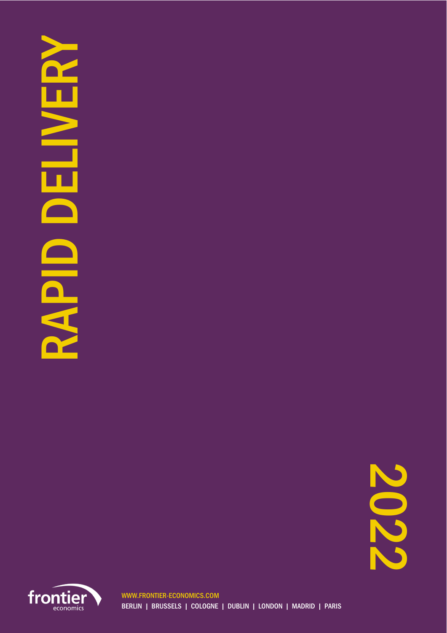## RAP DELIVERY DELIVER **OIRNS**

2022

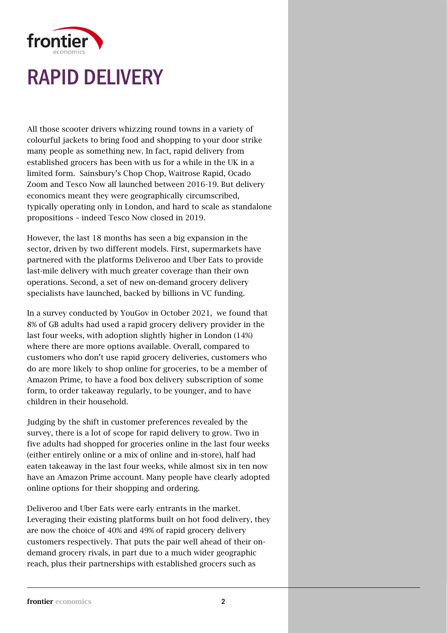

All those scooter drivers whizzing round towns in a variety of colourful jackets to bring food and shopping to your door strike many people as something new. In fact, rapid delivery from established grocers has been with us for a while in the UK in a limited form. Sainsbury's Chop Chop, Waitrose Rapid, Ocado Zoom and Tesco Now all launched between 2016-19. But delivery economics meant they were geographically circumscribed, typically operating only in London, and hard to scale as standalone propositions – indeed Tesco Now closed in 2019.

However, the last 18 months has seen a big expansion in the sector, driven by two different models. First, supermarkets have partnered with the platforms Deliveroo and Uber Eats to provide last-mile delivery with much greater coverage than their own operations. Second, a set of new on-demand grocery delivery specialists have launched, backed by billions in VC funding.

In a survey conducted by YouGov in October 2021, we found that 8% of GB adults had used a rapid grocery delivery provider in the last four weeks, with adoption slightly higher in London (14%) where there are more options available. Overall, compared to customers who don't use rapid grocery deliveries, customers who do are more likely to shop online for groceries, to be a member of Amazon Prime, to have a food box delivery subscription of some form, to order takeaway regularly, to be younger, and to have children in their household.

Judging by the shift in customer preferences revealed by the survey, there is a lot of scope for rapid delivery to grow. Two in five adults had shopped for groceries online in the last four weeks (either entirely online or a mix of online and in-store), half had eaten takeaway in the last four weeks, while almost six in ten now have an Amazon Prime account. Many people have clearly adopted online options for their shopping and ordering.

Deliveroo and Uber Eats were early entrants in the market. Leveraging their existing platforms built on hot food delivery, they are now the choice of 40% and 49% of rapid grocery delivery customers respectively. That puts the pair well ahead of their ondemand grocery rivals, in part due to a much wider geographic reach, plus their partnerships with established grocers such as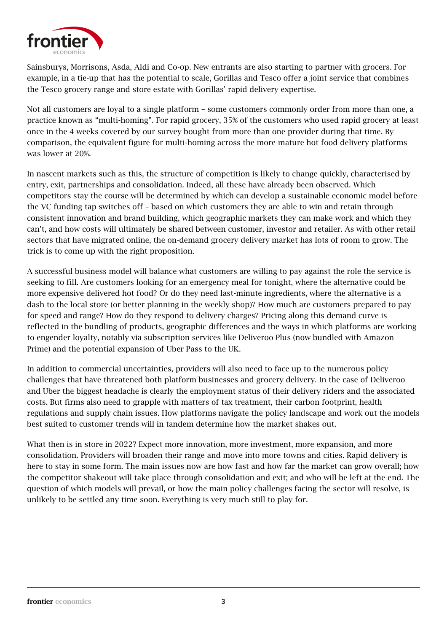

Sainsburys, Morrisons, Asda, Aldi and Co-op. New entrants are also starting to partner with grocers. For example, in a tie-up that has the potential to scale, Gorillas and Tesco offer a joint service that combines the Tesco grocery range and store estate with Gorillas' rapid delivery expertise.

Not all customers are loyal to a single platform – some customers commonly order from more than one, a practice known as "multi-homing". For rapid grocery, 35% of the customers who used rapid grocery at least once in the 4 weeks covered by our survey bought from more than one provider during that time. By comparison, the equivalent figure for multi-homing across the more mature hot food delivery platforms was lower at 20%.

In nascent markets such as this, the structure of competition is likely to change quickly, characterised by entry, exit, partnerships and consolidation. Indeed, all these have already been observed. Which competitors stay the course will be determined by which can develop a sustainable economic model before the VC funding tap switches off – based on which customers they are able to win and retain through consistent innovation and brand building, which geographic markets they can make work and which they can't, and how costs will ultimately be shared between customer, investor and retailer. As with other retail sectors that have migrated online, the on-demand grocery delivery market has lots of room to grow. The trick is to come up with the right proposition.

A successful business model will balance what customers are willing to pay against the role the service is seeking to fill. Are customers looking for an emergency meal for tonight, where the alternative could be more expensive delivered hot food? Or do they need last-minute ingredients, where the alternative is a dash to the local store (or better planning in the weekly shop)? How much are customers prepared to pay for speed and range? How do they respond to delivery charges? Pricing along this demand curve is reflected in the bundling of products, geographic differences and the ways in which platforms are working to engender loyalty, notably via subscription services like Deliveroo Plus (now bundled with Amazon Prime) and the potential expansion of Uber Pass to the UK.

In addition to commercial uncertainties, providers will also need to face up to the numerous policy challenges that have threatened both platform businesses and grocery delivery. In the case of Deliveroo and Uber the biggest headache is clearly the employment status of their delivery riders and the associated costs. But firms also need to grapple with matters of tax treatment, their carbon footprint, health regulations and supply chain issues. How platforms navigate the policy landscape and work out the models best suited to customer trends will in tandem determine how the market shakes out.

What then is in store in 2022? Expect more innovation, more investment, more expansion, and more consolidation. Providers will broaden their range and move into more towns and cities. Rapid delivery is here to stay in some form. The main issues now are how fast and how far the market can grow overall; how the competitor shakeout will take place through consolidation and exit; and who will be left at the end. The question of which models will prevail, or how the main policy challenges facing the sector will resolve, is unlikely to be settled any time soon. Everything is very much still to play for.